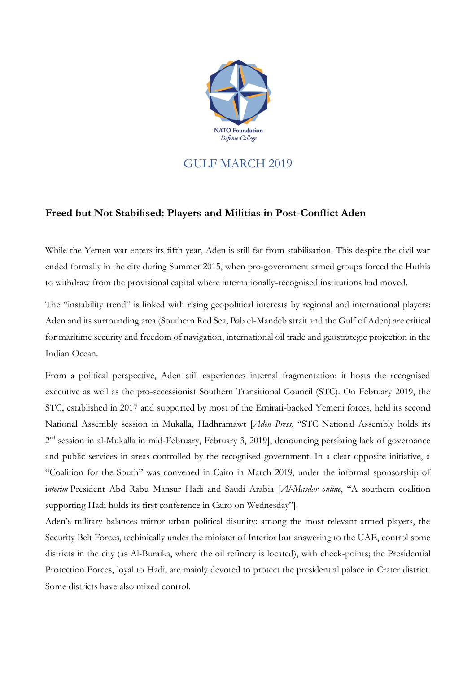

## GULF MARCH 2019

## **Freed but Not Stabilised: Players and Militias in Post-Conflict Aden**

While the Yemen war enters its fifth year, Aden is still far from stabilisation. This despite the civil war ended formally in the city during Summer 2015, when pro-government armed groups forced the Huthis to withdraw from the provisional capital where internationally-recognised institutions had moved.

The "instability trend" is linked with rising geopolitical interests by regional and international players: Aden and its surrounding area (Southern Red Sea, Bab el-Mandeb strait and the Gulf of Aden) are critical for maritime security and freedom of navigation, international oil trade and geostrategic projection in the Indian Ocean.

From a political perspective, Aden still experiences internal fragmentation: it hosts the recognised executive as well as the pro-secessionist Southern Transitional Council (STC). On February 2019, the STC, established in 2017 and supported by most of the Emirati-backed Yemeni forces, held its second National Assembly session in Mukalla, Hadhramawt [*Aden Press*, "STC National Assembly holds its 2<sup>nd</sup> session in al-Mukalla in mid-February, February 3, 2019], denouncing persisting lack of governance and public services in areas controlled by the recognised government. In a clear opposite initiative, a "Coalition for the South" was convened in Cairo in March 2019, under the informal sponsorship of i*nterim* President Abd Rabu Mansur Hadi and Saudi Arabia [*Al-Masdar online*, "A southern coalition supporting Hadi holds its first conference in Cairo on Wednesday"].

Aden's military balances mirror urban political disunity: among the most relevant armed players, the Security Belt Forces, techinically under the minister of Interior but answering to the UAE, control some districts in the city (as Al-Buraika, where the oil refinery is located), with check-points; the Presidential Protection Forces, loyal to Hadi, are mainly devoted to protect the presidential palace in Crater district. Some districts have also mixed control.